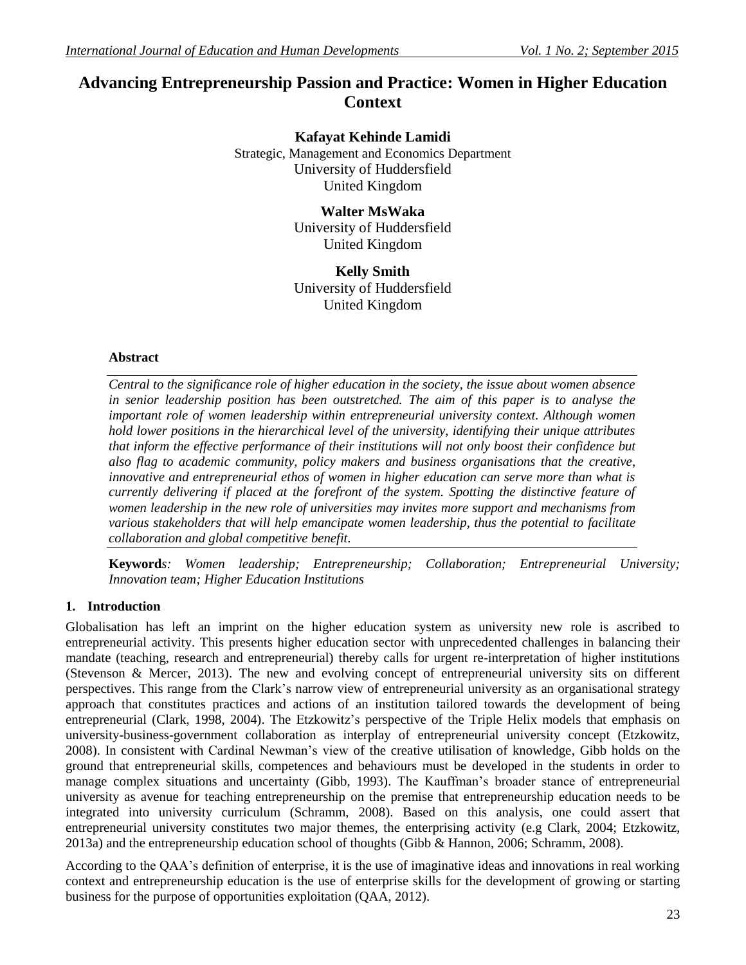# **Advancing Entrepreneurship Passion and Practice: Women in Higher Education Context**

**Kafayat Kehinde Lamidi** Strategic, Management and Economics Department University of Huddersfield United Kingdom

> **Walter MsWaka** University of Huddersfield United Kingdom

> **Kelly Smith** University of Huddersfield United Kingdom

# **Abstract**

*Central to the significance role of higher education in the society, the issue about women absence in senior leadership position has been outstretched. The aim of this paper is to analyse the important role of women leadership within entrepreneurial university context. Although women hold lower positions in the hierarchical level of the university, identifying their unique attributes that inform the effective performance of their institutions will not only boost their confidence but also flag to academic community, policy makers and business organisations that the creative, innovative and entrepreneurial ethos of women in higher education can serve more than what is currently delivering if placed at the forefront of the system. Spotting the distinctive feature of women leadership in the new role of universities may invites more support and mechanisms from various stakeholders that will help emancipate women leadership, thus the potential to facilitate collaboration and global competitive benefit.* 

**Keyword***s: Women leadership; Entrepreneurship; Collaboration; Entrepreneurial University; Innovation team; Higher Education Institutions*

# **1. Introduction**

Globalisation has left an imprint on the higher education system as university new role is ascribed to entrepreneurial activity. This presents higher education sector with unprecedented challenges in balancing their mandate (teaching, research and entrepreneurial) thereby calls for urgent re-interpretation of higher institutions (Stevenson & Mercer, 2013). The new and evolving concept of entrepreneurial university sits on different perspectives. This range from the Clark"s narrow view of entrepreneurial university as an organisational strategy approach that constitutes practices and actions of an institution tailored towards the development of being entrepreneurial (Clark, 1998, 2004). The Etzkowitz's perspective of the Triple Helix models that emphasis on university-business-government collaboration as interplay of entrepreneurial university concept (Etzkowitz, 2008). In consistent with Cardinal Newman"s view of the creative utilisation of knowledge, Gibb holds on the ground that entrepreneurial skills, competences and behaviours must be developed in the students in order to manage complex situations and uncertainty (Gibb, 1993). The Kauffman"s broader stance of entrepreneurial university as avenue for teaching entrepreneurship on the premise that entrepreneurship education needs to be integrated into university curriculum (Schramm, 2008). Based on this analysis, one could assert that entrepreneurial university constitutes two major themes, the enterprising activity (e.g Clark, 2004; Etzkowitz, 2013a) and the entrepreneurship education school of thoughts (Gibb & Hannon, 2006; Schramm, 2008).

According to the QAA"s definition of enterprise, it is the use of imaginative ideas and innovations in real working context and entrepreneurship education is the use of enterprise skills for the development of growing or starting business for the purpose of opportunities exploitation (QAA, 2012).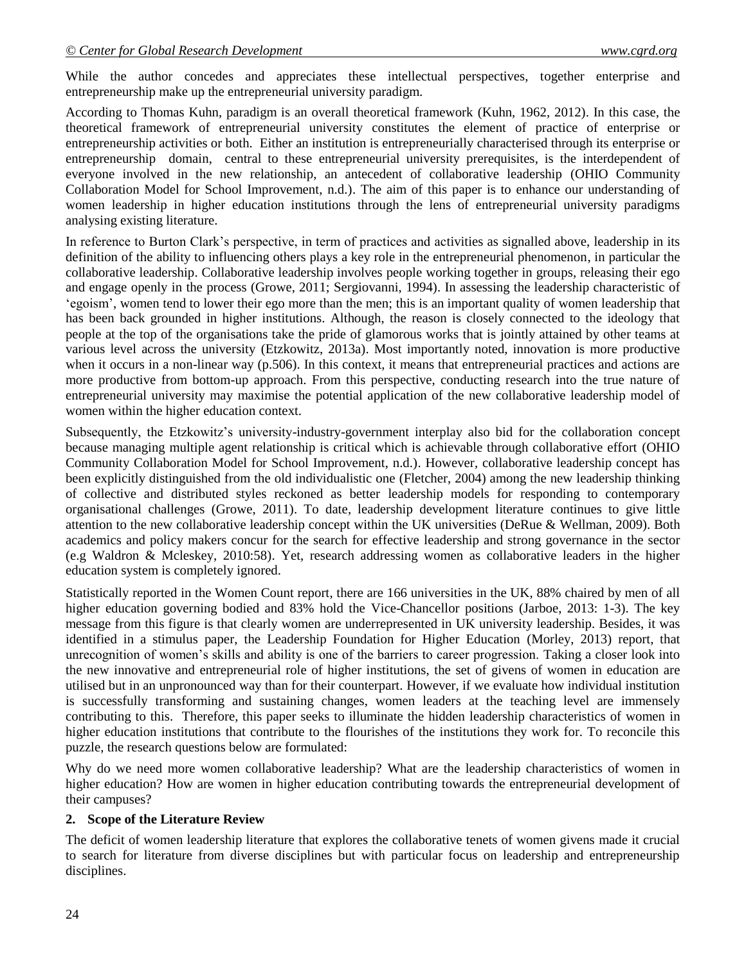While the author concedes and appreciates these intellectual perspectives, together enterprise and entrepreneurship make up the entrepreneurial university paradigm.

According to Thomas Kuhn, paradigm is an overall theoretical framework (Kuhn, 1962, 2012). In this case, the theoretical framework of entrepreneurial university constitutes the element of practice of enterprise or entrepreneurship activities or both. Either an institution is entrepreneurially characterised through its enterprise or entrepreneurship domain, central to these entrepreneurial university prerequisites, is the interdependent of everyone involved in the new relationship, an antecedent of collaborative leadership (OHIO Community Collaboration Model for School Improvement, n.d.). The aim of this paper is to enhance our understanding of women leadership in higher education institutions through the lens of entrepreneurial university paradigms analysing existing literature.

In reference to Burton Clark's perspective, in term of practices and activities as signalled above, leadership in its definition of the ability to influencing others plays a key role in the entrepreneurial phenomenon, in particular the collaborative leadership. Collaborative leadership involves people working together in groups, releasing their ego and engage openly in the process (Growe, 2011; Sergiovanni, 1994). In assessing the leadership characteristic of "egoism", women tend to lower their ego more than the men; this is an important quality of women leadership that has been back grounded in higher institutions. Although, the reason is closely connected to the ideology that people at the top of the organisations take the pride of glamorous works that is jointly attained by other teams at various level across the university (Etzkowitz, 2013a). Most importantly noted, innovation is more productive when it occurs in a non-linear way (p.506). In this context, it means that entrepreneurial practices and actions are more productive from bottom-up approach. From this perspective, conducting research into the true nature of entrepreneurial university may maximise the potential application of the new collaborative leadership model of women within the higher education context.

Subsequently, the Etzkowitz"s university-industry-government interplay also bid for the collaboration concept because managing multiple agent relationship is critical which is achievable through collaborative effort (OHIO Community Collaboration Model for School Improvement, n.d.). However, collaborative leadership concept has been explicitly distinguished from the old individualistic one (Fletcher, 2004) among the new leadership thinking of collective and distributed styles reckoned as better leadership models for responding to contemporary organisational challenges (Growe, 2011). To date, leadership development literature continues to give little attention to the new collaborative leadership concept within the UK universities (DeRue & Wellman, 2009). Both academics and policy makers concur for the search for effective leadership and strong governance in the sector (e.g Waldron & Mcleskey, 2010:58). Yet, research addressing women as collaborative leaders in the higher education system is completely ignored.

Statistically reported in the Women Count report, there are 166 universities in the UK, 88% chaired by men of all higher education governing bodied and 83% hold the Vice-Chancellor positions (Jarboe, 2013: 1-3). The key message from this figure is that clearly women are underrepresented in UK university leadership. Besides, it was identified in a stimulus paper, the Leadership Foundation for Higher Education (Morley, 2013) report, that unrecognition of women"s skills and ability is one of the barriers to career progression. Taking a closer look into the new innovative and entrepreneurial role of higher institutions, the set of givens of women in education are utilised but in an unpronounced way than for their counterpart. However, if we evaluate how individual institution is successfully transforming and sustaining changes, women leaders at the teaching level are immensely contributing to this. Therefore, this paper seeks to illuminate the hidden leadership characteristics of women in higher education institutions that contribute to the flourishes of the institutions they work for. To reconcile this puzzle, the research questions below are formulated:

Why do we need more women collaborative leadership? What are the leadership characteristics of women in higher education? How are women in higher education contributing towards the entrepreneurial development of their campuses?

#### **2. Scope of the Literature Review**

The deficit of women leadership literature that explores the collaborative tenets of women givens made it crucial to search for literature from diverse disciplines but with particular focus on leadership and entrepreneurship disciplines.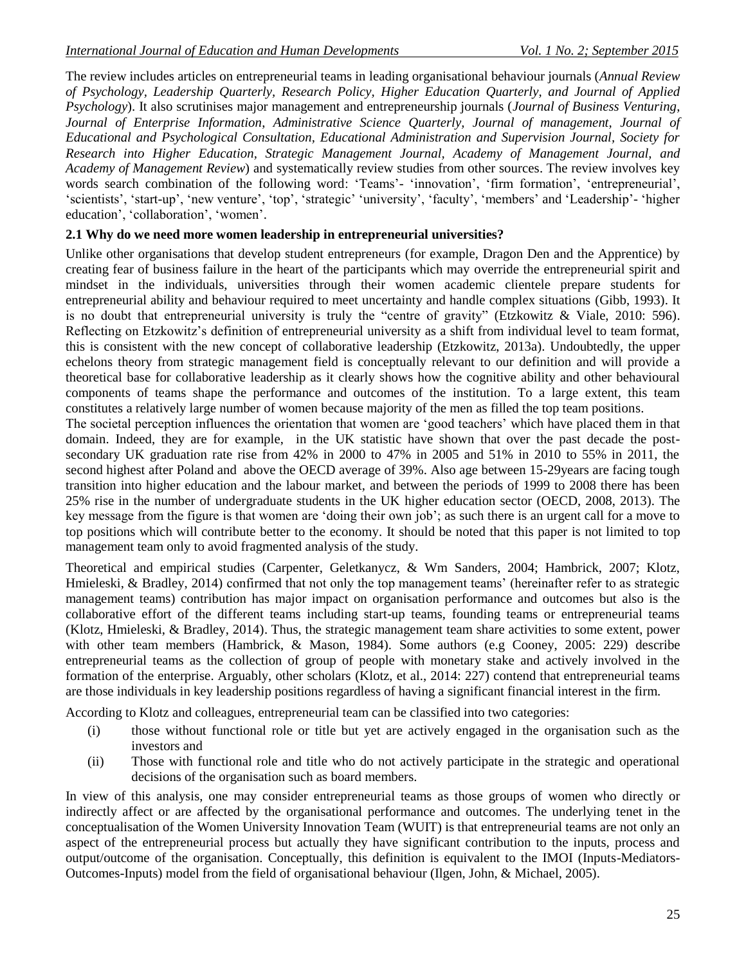The review includes articles on entrepreneurial teams in leading organisational behaviour journals (*Annual Review of Psychology, Leadership Quarterly, Research Policy, Higher Education Quarterly, and Journal of Applied Psychology*). It also scrutinises major management and entrepreneurship journals (*Journal of Business Venturing*, *Journal of Enterprise Information*, *Administrative Science Quarterly, Journal of management, Journal of Educational and Psychological Consultation, Educational Administration and Supervision Journal, Society for Research into Higher Education, Strategic Management Journal, Academy of Management Journal, and Academy of Management Review*) and systematically review studies from other sources. The review involves key words search combination of the following word: 'Teams'- 'innovation', 'firm formation', 'entrepreneurial', 'scientists', 'start-up', 'new venture', 'top', 'strategic' 'university', 'faculty', 'members' and 'Leadership'- 'higher education', 'collaboration', 'women'.

#### **2.1 Why do we need more women leadership in entrepreneurial universities?**

Unlike other organisations that develop student entrepreneurs (for example, Dragon Den and the Apprentice) by creating fear of business failure in the heart of the participants which may override the entrepreneurial spirit and mindset in the individuals, universities through their women academic clientele prepare students for entrepreneurial ability and behaviour required to meet uncertainty and handle complex situations (Gibb, 1993). It is no doubt that entrepreneurial university is truly the "centre of gravity" (Etzkowitz & Viale, 2010: 596). Reflecting on Etzkowitz"s definition of entrepreneurial university as a shift from individual level to team format, this is consistent with the new concept of collaborative leadership (Etzkowitz, 2013a). Undoubtedly, the upper echelons theory from strategic management field is conceptually relevant to our definition and will provide a theoretical base for collaborative leadership as it clearly shows how the cognitive ability and other behavioural components of teams shape the performance and outcomes of the institution. To a large extent, this team constitutes a relatively large number of women because majority of the men as filled the top team positions.

The societal perception influences the orientation that women are "good teachers" which have placed them in that domain. Indeed, they are for example, in the UK statistic have shown that over the past decade the postsecondary UK graduation rate rise from 42% in 2000 to 47% in 2005 and 51% in 2010 to 55% in 2011, the second highest after Poland and above the OECD average of 39%. Also age between 15-29years are facing tough transition into higher education and the labour market, and between the periods of 1999 to 2008 there has been 25% rise in the number of undergraduate students in the UK higher education sector (OECD, 2008, 2013). The key message from the figure is that women are 'doing their own job'; as such there is an urgent call for a move to top positions which will contribute better to the economy. It should be noted that this paper is not limited to top management team only to avoid fragmented analysis of the study.

Theoretical and empirical studies (Carpenter, Geletkanycz, & Wm Sanders, 2004; Hambrick, 2007; Klotz, Hmieleski, & Bradley, 2014) confirmed that not only the top management teams' (hereinafter refer to as strategic management teams) contribution has major impact on organisation performance and outcomes but also is the collaborative effort of the different teams including start-up teams, founding teams or entrepreneurial teams (Klotz, Hmieleski, & Bradley, 2014). Thus, the strategic management team share activities to some extent, power with other team members (Hambrick, & Mason, 1984). Some authors (e.g Cooney, 2005: 229) describe entrepreneurial teams as the collection of group of people with monetary stake and actively involved in the formation of the enterprise. Arguably, other scholars (Klotz, et al., 2014: 227) contend that entrepreneurial teams are those individuals in key leadership positions regardless of having a significant financial interest in the firm.

According to Klotz and colleagues, entrepreneurial team can be classified into two categories:

- (i) those without functional role or title but yet are actively engaged in the organisation such as the investors and
- (ii) Those with functional role and title who do not actively participate in the strategic and operational decisions of the organisation such as board members.

In view of this analysis, one may consider entrepreneurial teams as those groups of women who directly or indirectly affect or are affected by the organisational performance and outcomes. The underlying tenet in the conceptualisation of the Women University Innovation Team (WUIT) is that entrepreneurial teams are not only an aspect of the entrepreneurial process but actually they have significant contribution to the inputs, process and output/outcome of the organisation. Conceptually, this definition is equivalent to the IMOI (Inputs-Mediators-Outcomes-Inputs) model from the field of organisational behaviour (Ilgen, John, & Michael, 2005).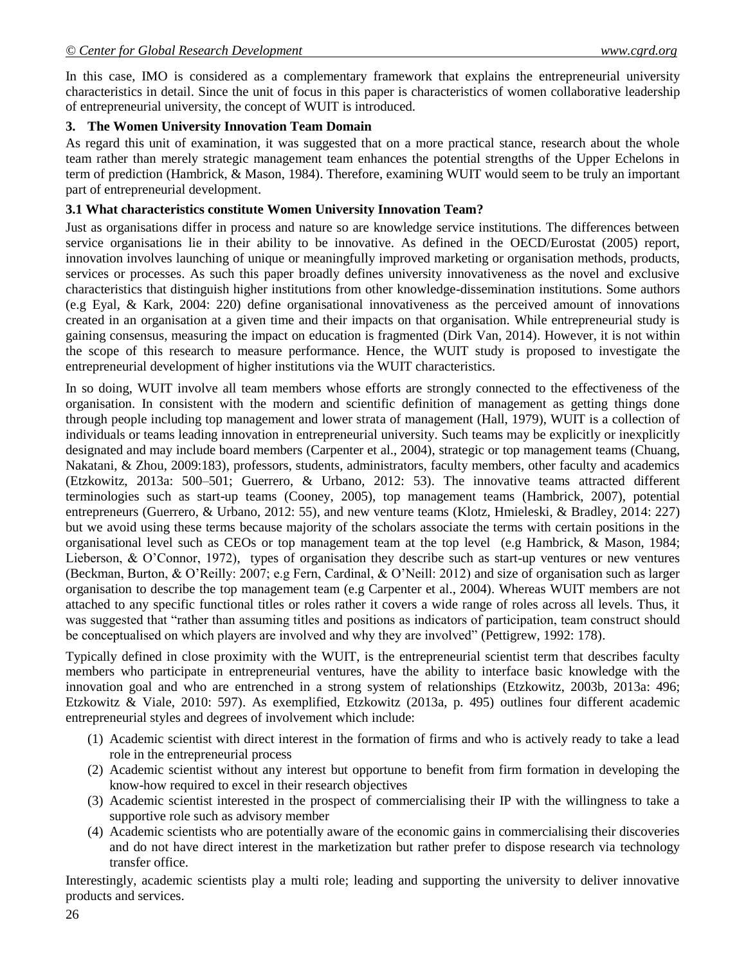In this case, IMO is considered as a complementary framework that explains the entrepreneurial university characteristics in detail. Since the unit of focus in this paper is characteristics of women collaborative leadership of entrepreneurial university, the concept of WUIT is introduced.

# **3. The Women University Innovation Team Domain**

As regard this unit of examination, it was suggested that on a more practical stance, research about the whole team rather than merely strategic management team enhances the potential strengths of the Upper Echelons in term of prediction (Hambrick, & Mason, 1984). Therefore, examining WUIT would seem to be truly an important part of entrepreneurial development.

#### **3.1 What characteristics constitute Women University Innovation Team?**

Just as organisations differ in process and nature so are knowledge service institutions. The differences between service organisations lie in their ability to be innovative. As defined in the OECD/Eurostat (2005) report, innovation involves launching of unique or meaningfully improved marketing or organisation methods, products, services or processes. As such this paper broadly defines university innovativeness as the novel and exclusive characteristics that distinguish higher institutions from other knowledge-dissemination institutions. Some authors (e.g Eyal, & Kark, 2004: 220) define organisational innovativeness as the perceived amount of innovations created in an organisation at a given time and their impacts on that organisation. While entrepreneurial study is gaining consensus, measuring the impact on education is fragmented (Dirk Van, 2014). However, it is not within the scope of this research to measure performance. Hence, the WUIT study is proposed to investigate the entrepreneurial development of higher institutions via the WUIT characteristics.

In so doing, WUIT involve all team members whose efforts are strongly connected to the effectiveness of the organisation. In consistent with the modern and scientific definition of management as getting things done through people including top management and lower strata of management (Hall, 1979), WUIT is a collection of individuals or teams leading innovation in entrepreneurial university. Such teams may be explicitly or inexplicitly designated and may include board members (Carpenter et al., 2004), strategic or top management teams (Chuang, Nakatani, & Zhou, 2009:183), professors, students, administrators, faculty members, other faculty and academics (Etzkowitz, 2013a: 500–501; Guerrero, & Urbano, 2012: 53). The innovative teams attracted different terminologies such as start-up teams (Cooney, 2005), top management teams (Hambrick, 2007), potential entrepreneurs (Guerrero, & Urbano, 2012: 55), and new venture teams (Klotz, Hmieleski, & Bradley, 2014: 227) but we avoid using these terms because majority of the scholars associate the terms with certain positions in the organisational level such as CEOs or top management team at the top level (e.g Hambrick, & Mason, 1984; Lieberson, & O"Connor, 1972), types of organisation they describe such as start-up ventures or new ventures (Beckman, Burton, & O"Reilly: 2007; e.g Fern, Cardinal, & O"Neill: 2012) and size of organisation such as larger organisation to describe the top management team (e.g Carpenter et al., 2004). Whereas WUIT members are not attached to any specific functional titles or roles rather it covers a wide range of roles across all levels. Thus, it was suggested that "rather than assuming titles and positions as indicators of participation, team construct should be conceptualised on which players are involved and why they are involved" (Pettigrew, 1992: 178).

Typically defined in close proximity with the WUIT, is the entrepreneurial scientist term that describes faculty members who participate in entrepreneurial ventures, have the ability to interface basic knowledge with the innovation goal and who are entrenched in a strong system of relationships (Etzkowitz, 2003b, 2013a: 496; Etzkowitz & Viale, 2010: 597). As exemplified, Etzkowitz (2013a, p. 495) outlines four different academic entrepreneurial styles and degrees of involvement which include:

- (1) Academic scientist with direct interest in the formation of firms and who is actively ready to take a lead role in the entrepreneurial process
- (2) Academic scientist without any interest but opportune to benefit from firm formation in developing the know-how required to excel in their research objectives
- (3) Academic scientist interested in the prospect of commercialising their IP with the willingness to take a supportive role such as advisory member
- (4) Academic scientists who are potentially aware of the economic gains in commercialising their discoveries and do not have direct interest in the marketization but rather prefer to dispose research via technology transfer office.

Interestingly, academic scientists play a multi role; leading and supporting the university to deliver innovative products and services.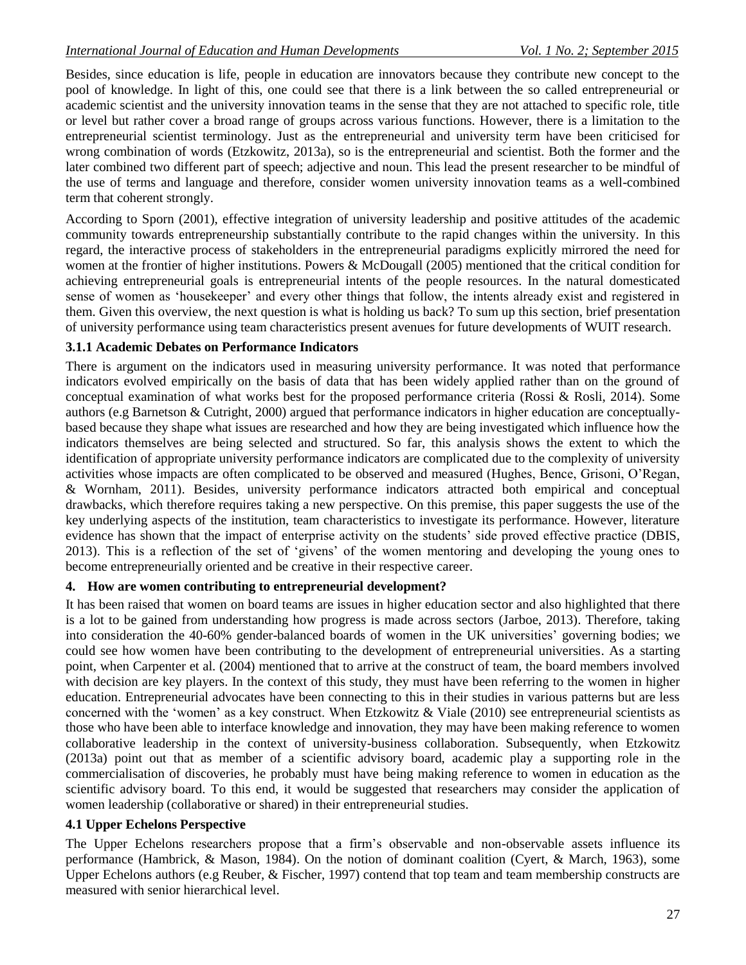Besides, since education is life, people in education are innovators because they contribute new concept to the pool of knowledge. In light of this, one could see that there is a link between the so called entrepreneurial or academic scientist and the university innovation teams in the sense that they are not attached to specific role, title or level but rather cover a broad range of groups across various functions. However, there is a limitation to the entrepreneurial scientist terminology. Just as the entrepreneurial and university term have been criticised for wrong combination of words (Etzkowitz, 2013a), so is the entrepreneurial and scientist. Both the former and the later combined two different part of speech; adjective and noun. This lead the present researcher to be mindful of the use of terms and language and therefore, consider women university innovation teams as a well-combined term that coherent strongly.

According to Sporn (2001), effective integration of university leadership and positive attitudes of the academic community towards entrepreneurship substantially contribute to the rapid changes within the university. In this regard, the interactive process of stakeholders in the entrepreneurial paradigms explicitly mirrored the need for women at the frontier of higher institutions. Powers & McDougall (2005) mentioned that the critical condition for achieving entrepreneurial goals is entrepreneurial intents of the people resources. In the natural domesticated sense of women as "housekeeper" and every other things that follow, the intents already exist and registered in them. Given this overview, the next question is what is holding us back? To sum up this section, brief presentation of university performance using team characteristics present avenues for future developments of WUIT research.

# **3.1.1 Academic Debates on Performance Indicators**

There is argument on the indicators used in measuring university performance. It was noted that performance indicators evolved empirically on the basis of data that has been widely applied rather than on the ground of conceptual examination of what works best for the proposed performance criteria (Rossi & Rosli, 2014). Some authors (e.g Barnetson & Cutright, 2000) argued that performance indicators in higher education are conceptuallybased because they shape what issues are researched and how they are being investigated which influence how the indicators themselves are being selected and structured. So far, this analysis shows the extent to which the identification of appropriate university performance indicators are complicated due to the complexity of university activities whose impacts are often complicated to be observed and measured (Hughes, Bence, Grisoni, O"Regan, & Wornham, 2011). Besides, university performance indicators attracted both empirical and conceptual drawbacks, which therefore requires taking a new perspective. On this premise, this paper suggests the use of the key underlying aspects of the institution, team characteristics to investigate its performance. However, literature evidence has shown that the impact of enterprise activity on the students' side proved effective practice (DBIS, 2013). This is a reflection of the set of "givens" of the women mentoring and developing the young ones to become entrepreneurially oriented and be creative in their respective career.

# **4. How are women contributing to entrepreneurial development?**

It has been raised that women on board teams are issues in higher education sector and also highlighted that there is a lot to be gained from understanding how progress is made across sectors (Jarboe, 2013). Therefore, taking into consideration the 40-60% gender-balanced boards of women in the UK universities" governing bodies; we could see how women have been contributing to the development of entrepreneurial universities. As a starting point, when Carpenter et al. (2004) mentioned that to arrive at the construct of team, the board members involved with decision are key players. In the context of this study, they must have been referring to the women in higher education. Entrepreneurial advocates have been connecting to this in their studies in various patterns but are less concerned with the "women" as a key construct. When Etzkowitz & Viale (2010) see entrepreneurial scientists as those who have been able to interface knowledge and innovation, they may have been making reference to women collaborative leadership in the context of university-business collaboration. Subsequently, when Etzkowitz (2013a) point out that as member of a scientific advisory board, academic play a supporting role in the commercialisation of discoveries, he probably must have being making reference to women in education as the scientific advisory board. To this end, it would be suggested that researchers may consider the application of women leadership (collaborative or shared) in their entrepreneurial studies.

# **4.1 Upper Echelons Perspective**

The Upper Echelons researchers propose that a firm"s observable and non-observable assets influence its performance (Hambrick, & Mason, 1984). On the notion of dominant coalition (Cyert, & March, 1963), some Upper Echelons authors (e.g Reuber, & Fischer, 1997) contend that top team and team membership constructs are measured with senior hierarchical level.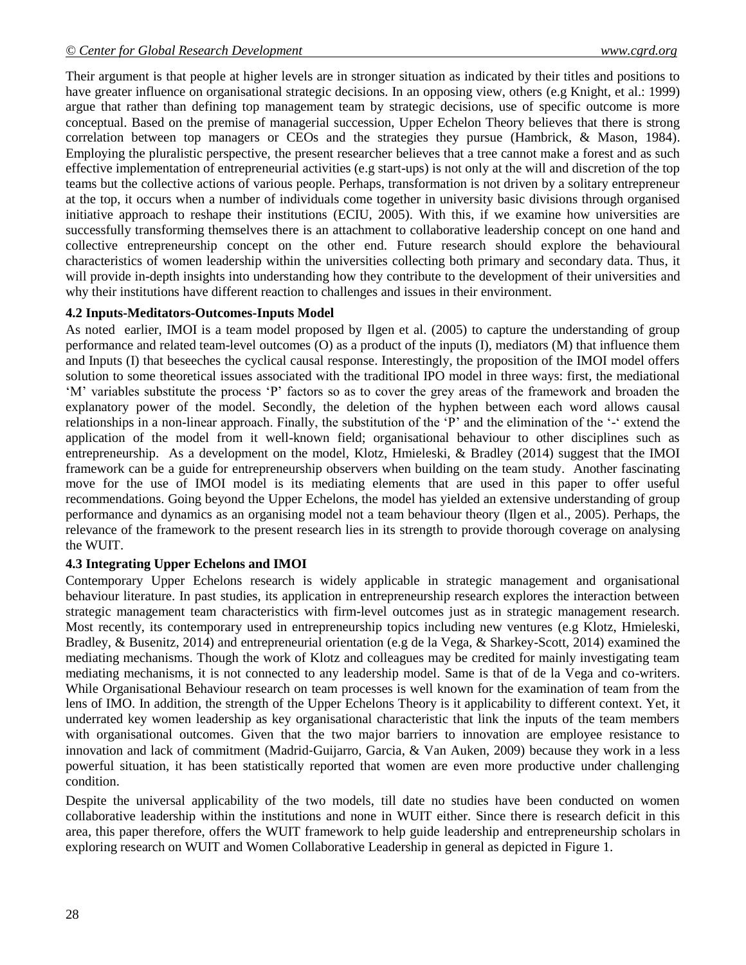Their argument is that people at higher levels are in stronger situation as indicated by their titles and positions to have greater influence on organisational strategic decisions. In an opposing view, others (e.g Knight, et al.: 1999) argue that rather than defining top management team by strategic decisions, use of specific outcome is more conceptual. Based on the premise of managerial succession, Upper Echelon Theory believes that there is strong correlation between top managers or CEOs and the strategies they pursue (Hambrick, & Mason, 1984). Employing the pluralistic perspective, the present researcher believes that a tree cannot make a forest and as such effective implementation of entrepreneurial activities (e.g start-ups) is not only at the will and discretion of the top teams but the collective actions of various people. Perhaps, transformation is not driven by a solitary entrepreneur at the top, it occurs when a number of individuals come together in university basic divisions through organised initiative approach to reshape their institutions (ECIU, 2005). With this, if we examine how universities are successfully transforming themselves there is an attachment to collaborative leadership concept on one hand and collective entrepreneurship concept on the other end. Future research should explore the behavioural characteristics of women leadership within the universities collecting both primary and secondary data. Thus, it will provide in-depth insights into understanding how they contribute to the development of their universities and why their institutions have different reaction to challenges and issues in their environment.

#### **4.2 Inputs-Meditators-Outcomes-Inputs Model**

As noted earlier, IMOI is a team model proposed by Ilgen et al. (2005) to capture the understanding of group performance and related team-level outcomes (O) as a product of the inputs (I), mediators (M) that influence them and Inputs (I) that beseeches the cyclical causal response. Interestingly, the proposition of the IMOI model offers solution to some theoretical issues associated with the traditional IPO model in three ways: first, the mediational "M" variables substitute the process "P" factors so as to cover the grey areas of the framework and broaden the explanatory power of the model. Secondly, the deletion of the hyphen between each word allows causal relationships in a non-linear approach. Finally, the substitution of the 'P' and the elimination of the '-' extend the application of the model from it well-known field; organisational behaviour to other disciplines such as entrepreneurship. As a development on the model, Klotz, Hmieleski, & Bradley (2014) suggest that the IMOI framework can be a guide for entrepreneurship observers when building on the team study. Another fascinating move for the use of IMOI model is its mediating elements that are used in this paper to offer useful recommendations. Going beyond the Upper Echelons, the model has yielded an extensive understanding of group performance and dynamics as an organising model not a team behaviour theory (Ilgen et al., 2005). Perhaps, the relevance of the framework to the present research lies in its strength to provide thorough coverage on analysing the WUIT.

# **4.3 Integrating Upper Echelons and IMOI**

Contemporary Upper Echelons research is widely applicable in strategic management and organisational behaviour literature. In past studies, its application in entrepreneurship research explores the interaction between strategic management team characteristics with firm-level outcomes just as in strategic management research. Most recently, its contemporary used in entrepreneurship topics including new ventures (e.g Klotz, Hmieleski, Bradley, & Busenitz, 2014) and entrepreneurial orientation (e.g de la Vega, & Sharkey-Scott, 2014) examined the mediating mechanisms. Though the work of Klotz and colleagues may be credited for mainly investigating team mediating mechanisms, it is not connected to any leadership model. Same is that of de la Vega and co-writers. While Organisational Behaviour research on team processes is well known for the examination of team from the lens of IMO. In addition, the strength of the Upper Echelons Theory is it applicability to different context. Yet, it underrated key women leadership as key organisational characteristic that link the inputs of the team members with organisational outcomes. Given that the two major barriers to innovation are employee resistance to innovation and lack of commitment (Madrid‐Guijarro, Garcia, & Van Auken, 2009) because they work in a less powerful situation, it has been statistically reported that women are even more productive under challenging condition.

Despite the universal applicability of the two models, till date no studies have been conducted on women collaborative leadership within the institutions and none in WUIT either. Since there is research deficit in this area, this paper therefore, offers the WUIT framework to help guide leadership and entrepreneurship scholars in exploring research on WUIT and Women Collaborative Leadership in general as depicted in Figure 1.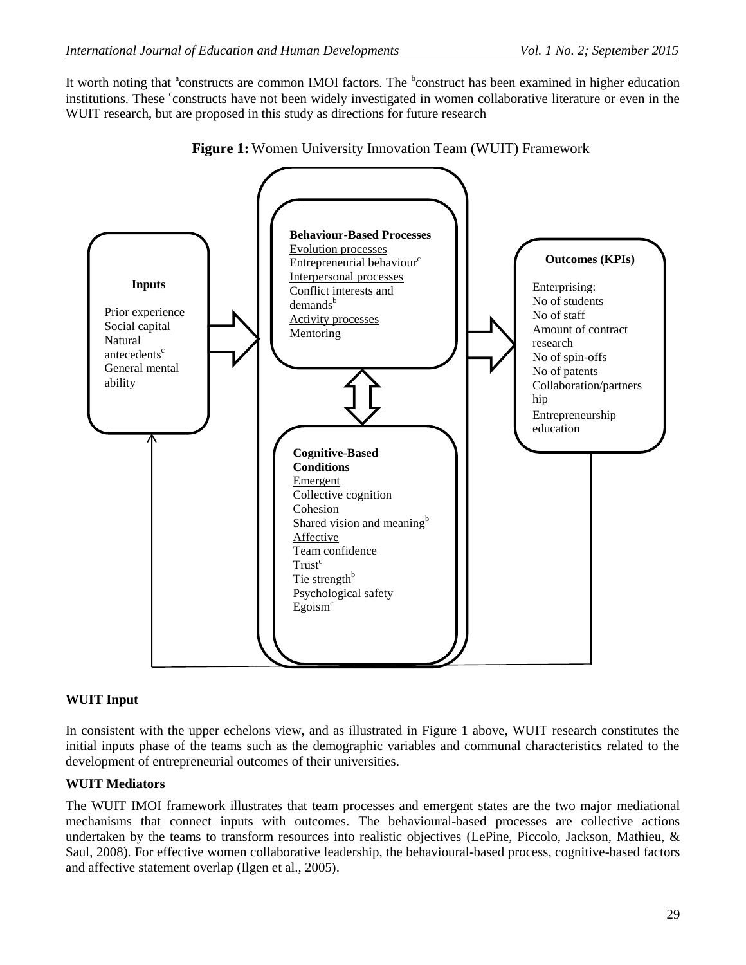It worth noting that <sup>a</sup>constructs are common IMOI factors. The <sup>b</sup>construct has been examined in higher education institutions. These constructs have not been widely investigated in women collaborative literature or even in the WUIT research, but are proposed in this study as directions for future research



**Figure 1:** Women University Innovation Team (WUIT) Framework

# **WUIT Input**

In consistent with the upper echelons view, and as illustrated in Figure 1 above, WUIT research constitutes the initial inputs phase of the teams such as the demographic variables and communal characteristics related to the development of entrepreneurial outcomes of their universities.

# **WUIT Mediators**

The WUIT IMOI framework illustrates that team processes and emergent states are the two major mediational mechanisms that connect inputs with outcomes. The behavioural-based processes are collective actions undertaken by the teams to transform resources into realistic objectives (LePine, Piccolo, Jackson, Mathieu, & Saul, 2008). For effective women collaborative leadership, the behavioural-based process, cognitive-based factors and affective statement overlap (Ilgen et al., 2005).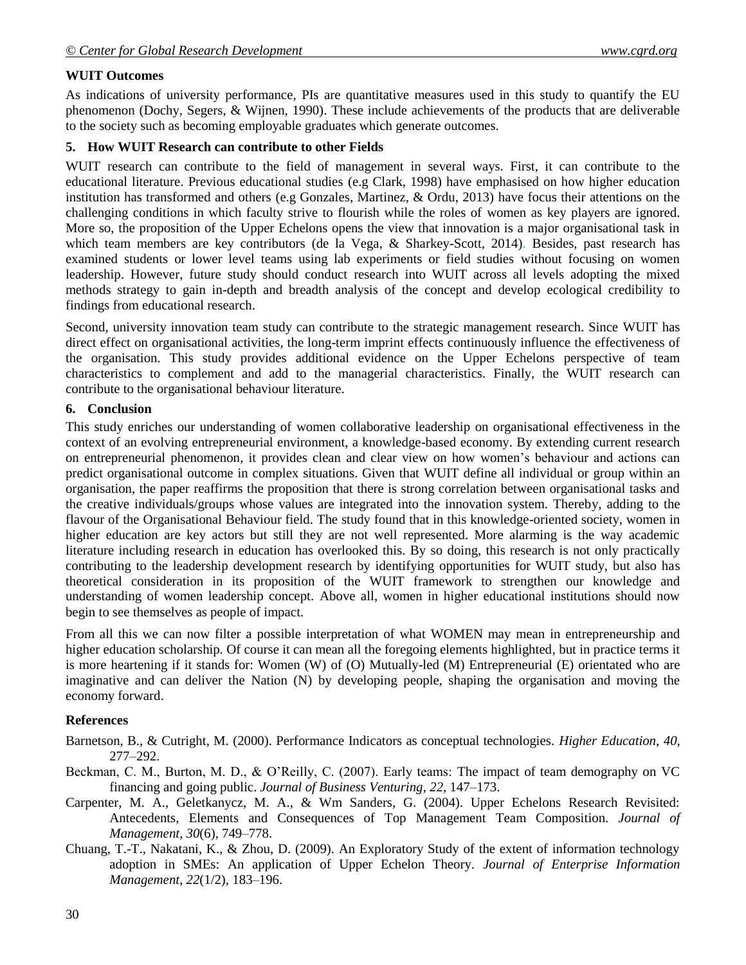# **WUIT Outcomes**

As indications of university performance, PIs are quantitative measures used in this study to quantify the EU phenomenon (Dochy, Segers, & Wijnen, 1990). These include achievements of the products that are deliverable to the society such as becoming employable graduates which generate outcomes.

# **5. How WUIT Research can contribute to other Fields**

WUIT research can contribute to the field of management in several ways. First, it can contribute to the educational literature. Previous educational studies (e.g Clark, 1998) have emphasised on how higher education institution has transformed and others (e.g Gonzales, Martinez, & Ordu, 2013) have focus their attentions on the challenging conditions in which faculty strive to flourish while the roles of women as key players are ignored. More so, the proposition of the Upper Echelons opens the view that innovation is a major organisational task in which team members are key contributors (de la Vega, & Sharkey-Scott, 2014). Besides, past research has examined students or lower level teams using lab experiments or field studies without focusing on women leadership. However, future study should conduct research into WUIT across all levels adopting the mixed methods strategy to gain in-depth and breadth analysis of the concept and develop ecological credibility to findings from educational research.

Second, university innovation team study can contribute to the strategic management research. Since WUIT has direct effect on organisational activities, the long-term imprint effects continuously influence the effectiveness of the organisation. This study provides additional evidence on the Upper Echelons perspective of team characteristics to complement and add to the managerial characteristics. Finally, the WUIT research can contribute to the organisational behaviour literature.

#### **6. Conclusion**

This study enriches our understanding of women collaborative leadership on organisational effectiveness in the context of an evolving entrepreneurial environment, a knowledge-based economy. By extending current research on entrepreneurial phenomenon, it provides clean and clear view on how women"s behaviour and actions can predict organisational outcome in complex situations. Given that WUIT define all individual or group within an organisation, the paper reaffirms the proposition that there is strong correlation between organisational tasks and the creative individuals/groups whose values are integrated into the innovation system. Thereby, adding to the flavour of the Organisational Behaviour field. The study found that in this knowledge-oriented society, women in higher education are key actors but still they are not well represented. More alarming is the way academic literature including research in education has overlooked this. By so doing, this research is not only practically contributing to the leadership development research by identifying opportunities for WUIT study, but also has theoretical consideration in its proposition of the WUIT framework to strengthen our knowledge and understanding of women leadership concept. Above all, women in higher educational institutions should now begin to see themselves as people of impact.

From all this we can now filter a possible interpretation of what WOMEN may mean in entrepreneurship and higher education scholarship. Of course it can mean all the foregoing elements highlighted, but in practice terms it is more heartening if it stands for: Women (W) of (O) Mutually-led (M) Entrepreneurial (E) orientated who are imaginative and can deliver the Nation (N) by developing people, shaping the organisation and moving the economy forward.

# **References**

- Barnetson, B., & Cutright, M. (2000). Performance Indicators as conceptual technologies. *Higher Education*, *40*, 277–292.
- Beckman, C. M., Burton, M. D., & O"Reilly, C. (2007). Early teams: The impact of team demography on VC financing and going public. *Journal of Business Venturing*, *22*, 147–173.
- Carpenter, M. A., Geletkanycz, M. A., & Wm Sanders, G. (2004). Upper Echelons Research Revisited: Antecedents, Elements and Consequences of Top Management Team Composition. *Journal of Management*, *30*(6), 749–778.
- Chuang, T.-T., Nakatani, K., & Zhou, D. (2009). An Exploratory Study of the extent of information technology adoption in SMEs: An application of Upper Echelon Theory. *Journal of Enterprise Information Management*, *22*(1/2), 183–196.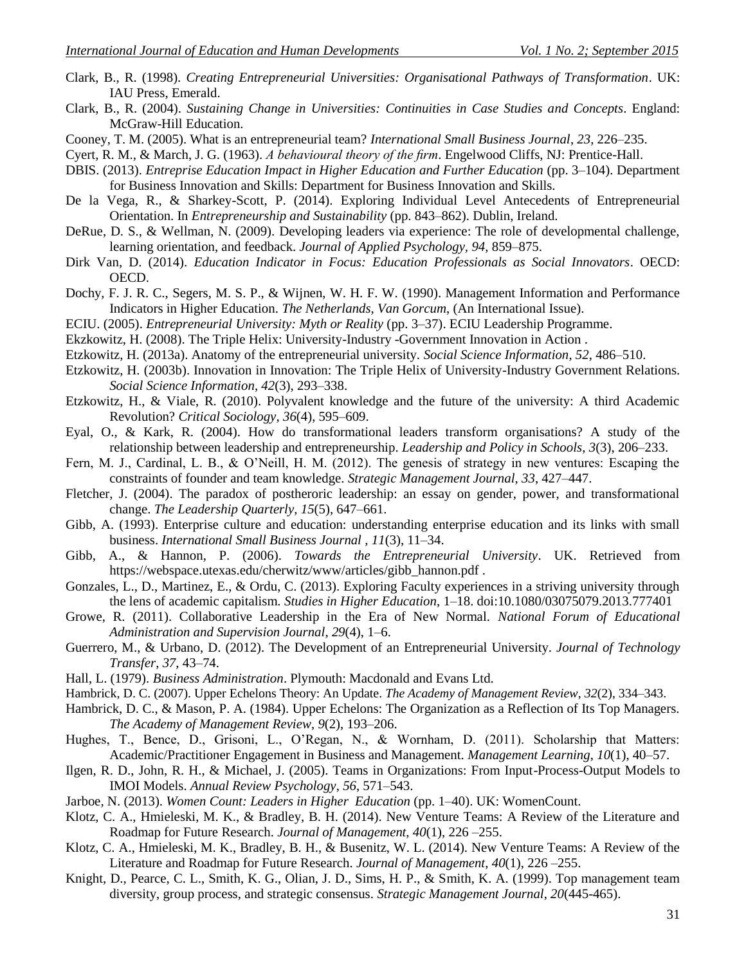- Clark, B., R. (1998). *Creating Entrepreneurial Universities: Organisational Pathways of Transformation*. UK: IAU Press, Emerald.
- Clark, B., R. (2004). *Sustaining Change in Universities: Continuities in Case Studies and Concepts*. England: McGraw-Hill Education.
- Cooney, T. M. (2005). What is an entrepreneurial team? *International Small Business Journal*, *23*, 226–235.

Cyert, R. M., & March, J. G. (1963). *A behavioural theory of the firm*. Engelwood Cliffs, NJ: Prentice-Hall.

- DBIS. (2013). *Entreprise Education Impact in Higher Education and Further Education* (pp. 3–104). Department for Business Innovation and Skills: Department for Business Innovation and Skills.
- De la Vega, R., & Sharkey-Scott, P. (2014). Exploring Individual Level Antecedents of Entrepreneurial Orientation. In *Entrepreneurship and Sustainability* (pp. 843–862). Dublin, Ireland.
- DeRue, D. S., & Wellman, N. (2009). Developing leaders via experience: The role of developmental challenge, learning orientation, and feedback. *Journal of Applied Psychology, 94*, 859–875.
- Dirk Van, D. (2014). *Education Indicator in Focus: Education Professionals as Social Innovators*. OECD: OECD.
- Dochy, F. J. R. C., Segers, M. S. P., & Wijnen, W. H. F. W. (1990). Management Information and Performance Indicators in Higher Education. *The Netherlands, Van Gorcum*, (An International Issue).
- ECIU. (2005). *Entrepreneurial University: Myth or Reality* (pp. 3–37). ECIU Leadership Programme.
- Ekzkowitz, H. (2008). The Triple Helix: University-Industry -Government Innovation in Action .
- Etzkowitz, H. (2013a). Anatomy of the entrepreneurial university. *Social Science Information*, *52*, 486–510.
- Etzkowitz, H. (2003b). Innovation in Innovation: The Triple Helix of University-Industry Government Relations. *Social Science Information*, *42*(3), 293–338.
- Etzkowitz, H., & Viale, R. (2010). Polyvalent knowledge and the future of the university: A third Academic Revolution? *Critical Sociology*, *36*(4), 595–609.
- Eyal, O., & Kark, R. (2004). How do transformational leaders transform organisations? A study of the relationship between leadership and entrepreneurship. *Leadership and Policy in Schools*, *3*(3), 206–233.
- Fern, M. J., Cardinal, L. B., & O"Neill, H. M. (2012). The genesis of strategy in new ventures: Escaping the constraints of founder and team knowledge. *Strategic Management Journal, 33*, 427–447.
- Fletcher, J. (2004). The paradox of postheroric leadership: an essay on gender, power, and transformational change. *The Leadership Quarterly*, *15*(5), 647–661.
- Gibb, A. (1993). Enterprise culture and education: understanding enterprise education and its links with small business. *International Small Business Journal , 11*(3), 11–34.
- Gibb, A., & Hannon, P. (2006). *Towards the Entrepreneurial University*. UK. Retrieved from https://webspace.utexas.edu/cherwitz/www/articles/gibb\_hannon.pdf .
- Gonzales, L., D., Martinez, E., & Ordu, C. (2013). Exploring Faculty experiences in a striving university through the lens of academic capitalism. *Studies in Higher Education*, 1–18. doi:10.1080/03075079.2013.777401
- Growe, R. (2011). Collaborative Leadership in the Era of New Normal. *National Forum of Educational Administration and Supervision Journal*, *29*(4), 1–6.
- Guerrero, M., & Urbano, D. (2012). The Development of an Entrepreneurial University. *Journal of Technology Transfer*, *37*, 43–74.
- Hall, L. (1979). *Business Administration*. Plymouth: Macdonald and Evans Ltd.
- Hambrick, D. C. (2007). Upper Echelons Theory: An Update. *The Academy of Management Review*, *32*(2), 334–343.
- Hambrick, D. C., & Mason, P. A. (1984). Upper Echelons: The Organization as a Reflection of Its Top Managers. *The Academy of Management Review*, *9*(2), 193–206.
- Hughes, T., Bence, D., Grisoni, L., O'Regan, N., & Wornham, D. (2011). Scholarship that Matters: Academic/Practitioner Engagement in Business and Management. *Management Learning*, *10*(1), 40–57.
- Ilgen, R. D., John, R. H., & Michael, J. (2005). Teams in Organizations: From Input-Process-Output Models to IMOI Models. *Annual Review Psychology*, *56*, 571–543.
- Jarboe, N. (2013). *Women Count: Leaders in Higher Education* (pp. 1–40). UK: WomenCount.
- Klotz, C. A., Hmieleski, M. K., & Bradley, B. H. (2014). New Venture Teams: A Review of the Literature and Roadmap for Future Research. *Journal of Management*, *40*(1), 226 –255.
- Klotz, C. A., Hmieleski, M. K., Bradley, B. H., & Busenitz, W. L. (2014). New Venture Teams: A Review of the Literature and Roadmap for Future Research. *Journal of Management*, *40*(1), 226 –255.
- Knight, D., Pearce, C. L., Smith, K. G., Olian, J. D., Sims, H. P., & Smith, K. A. (1999). Top management team diversity, group process, and strategic consensus. *Strategic Management Journal*, *20*(445-465).